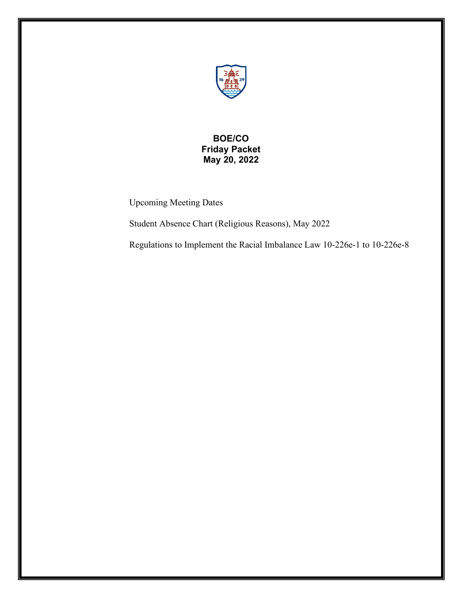

# **BOE/CO Friday Packet May 20, 2022**

Upcoming Meeting Dates

Student Absence Chart (Religious Reasons), May 2022

Regulations to Implement the Racial Imbalance Law 10-226e-1 to 10-226e-8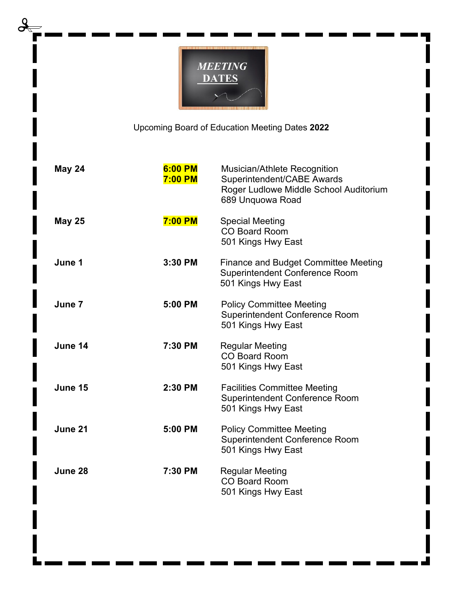

Upcoming Board of Education Meeting Dates **2022**

| <b>May 24</b> | 6:00 PM<br><b>7:00 PM</b> | Musician/Athlete Recognition<br>Superintendent/CABE Awards<br>Roger Ludlowe Middle School Auditorium<br>689 Unquowa Road |  |
|---------------|---------------------------|--------------------------------------------------------------------------------------------------------------------------|--|
| <b>May 25</b> | <b>7:00 PM</b>            | <b>Special Meeting</b><br><b>CO Board Room</b><br>501 Kings Hwy East                                                     |  |
| June 1        | 3:30 PM                   | <b>Finance and Budget Committee Meeting</b><br><b>Superintendent Conference Room</b><br>501 Kings Hwy East               |  |
| June 7        | 5:00 PM                   | <b>Policy Committee Meeting</b><br><b>Superintendent Conference Room</b><br>501 Kings Hwy East                           |  |
| June 14       | 7:30 PM                   | <b>Regular Meeting</b><br><b>CO Board Room</b><br>501 Kings Hwy East                                                     |  |
| June 15       | 2:30 PM                   | <b>Facilities Committee Meeting</b><br><b>Superintendent Conference Room</b><br>501 Kings Hwy East                       |  |
| June 21       | 5:00 PM                   | <b>Policy Committee Meeting</b><br>Superintendent Conference Room<br>501 Kings Hwy East                                  |  |
| June 28       | 7:30 PM                   | <b>Regular Meeting</b><br><b>CO Board Room</b><br>501 Kings Hwy East                                                     |  |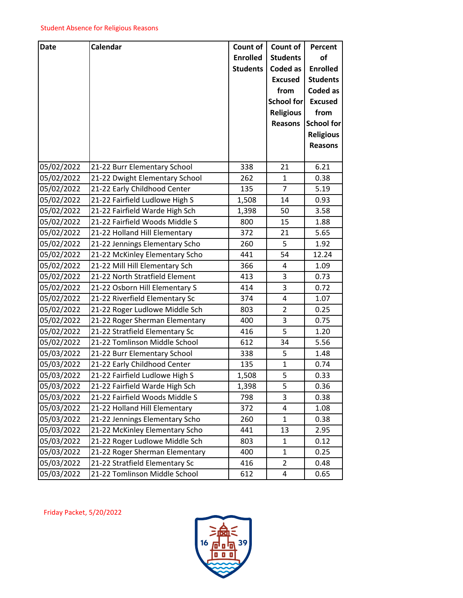| <b>Date</b> | Calendar                       | Count of        | Count of          | Percent           |
|-------------|--------------------------------|-----------------|-------------------|-------------------|
|             |                                | <b>Enrolled</b> | <b>Students</b>   | of                |
|             |                                | <b>Students</b> | <b>Coded as</b>   | <b>Enrolled</b>   |
|             |                                |                 | <b>Excused</b>    | <b>Students</b>   |
|             |                                |                 | from              | Coded as          |
|             |                                |                 | <b>School for</b> | <b>Excused</b>    |
|             |                                |                 | <b>Religious</b>  | from              |
|             |                                |                 | <b>Reasons</b>    | <b>School for</b> |
|             |                                |                 |                   | <b>Religious</b>  |
|             |                                |                 |                   | <b>Reasons</b>    |
|             |                                |                 |                   |                   |
| 05/02/2022  | 21-22 Burr Elementary School   | 338             | 21                | 6.21              |
| 05/02/2022  | 21-22 Dwight Elementary School | 262             | 1                 | 0.38              |
| 05/02/2022  | 21-22 Early Childhood Center   | 135             | $\overline{7}$    | 5.19              |
| 05/02/2022  | 21-22 Fairfield Ludlowe High S | 1,508           | 14                | 0.93              |
| 05/02/2022  | 21-22 Fairfield Warde High Sch | 1,398           | 50                | 3.58              |
| 05/02/2022  | 21-22 Fairfield Woods Middle S | 800             | 15                | 1.88              |
| 05/02/2022  | 21-22 Holland Hill Elementary  | 372             | 21                | 5.65              |
| 05/02/2022  | 21-22 Jennings Elementary Scho | 260             | 5                 | 1.92              |
| 05/02/2022  | 21-22 McKinley Elementary Scho | 441             | 54                | 12.24             |
| 05/02/2022  | 21-22 Mill Hill Elementary Sch | 366             | 4                 | 1.09              |
| 05/02/2022  | 21-22 North Stratfield Element | 413             | 3                 | 0.73              |
| 05/02/2022  | 21-22 Osborn Hill Elementary S | 414             | 3                 | 0.72              |
| 05/02/2022  | 21-22 Riverfield Elementary Sc | 374             | 4                 | 1.07              |
| 05/02/2022  | 21-22 Roger Ludlowe Middle Sch | 803             | $\overline{2}$    | 0.25              |
| 05/02/2022  | 21-22 Roger Sherman Elementary | 400             | 3                 | 0.75              |
| 05/02/2022  | 21-22 Stratfield Elementary Sc | 416             | 5                 | 1.20              |
| 05/02/2022  | 21-22 Tomlinson Middle School  | 612             | 34                | 5.56              |
| 05/03/2022  | 21-22 Burr Elementary School   | 338             | 5                 | 1.48              |
| 05/03/2022  | 21-22 Early Childhood Center   | 135             | $\mathbf{1}$      | 0.74              |
| 05/03/2022  | 21-22 Fairfield Ludlowe High S | 1,508           | 5                 | 0.33              |
| 05/03/2022  | 21-22 Fairfield Warde High Sch | 1,398           | 5                 | 0.36              |
| 05/03/2022  | 21-22 Fairfield Woods Middle S | 798             | 3                 | 0.38              |
| 05/03/2022  | 21-22 Holland Hill Elementary  | 372             | 4                 | 1.08              |
| 05/03/2022  | 21-22 Jennings Elementary Scho | 260             | $\mathbf{1}$      | 0.38              |
| 05/03/2022  | 21-22 McKinley Elementary Scho | 441             | 13                | 2.95              |
| 05/03/2022  | 21-22 Roger Ludlowe Middle Sch | 803             | $\mathbf{1}$      | 0.12              |
| 05/03/2022  | 21-22 Roger Sherman Elementary | 400             | 1                 | 0.25              |
| 05/03/2022  | 21-22 Stratfield Elementary Sc | 416             | $\overline{2}$    | 0.48              |
| 05/03/2022  | 21-22 Tomlinson Middle School  | 612             | 4                 | 0.65              |

Friday Packet, 5/20/2022

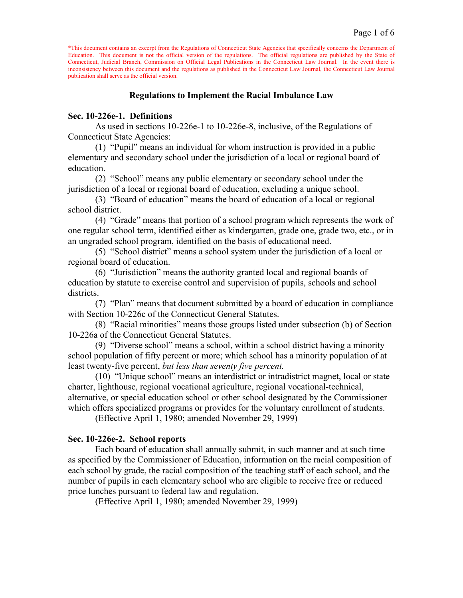# **Regulations to Implement the Racial Imbalance Law**

#### **Sec. 10-226e-1. Definitions**

As used in sections 10-226e-1 to 10-226e-8, inclusive, of the Regulations of Connecticut State Agencies:

(1) "Pupil" means an individual for whom instruction is provided in a public elementary and secondary school under the jurisdiction of a local or regional board of education.

(2) "School" means any public elementary or secondary school under the jurisdiction of a local or regional board of education, excluding a unique school.

(3) "Board of education" means the board of education of a local or regional school district.

(4) "Grade" means that portion of a school program which represents the work of one regular school term, identified either as kindergarten, grade one, grade two, etc., or in an ungraded school program, identified on the basis of educational need.

(5) "School district" means a school system under the jurisdiction of a local or regional board of education.

(6) "Jurisdiction" means the authority granted local and regional boards of education by statute to exercise control and supervision of pupils, schools and school districts.

(7) "Plan" means that document submitted by a board of education in compliance with Section 10-226c of the Connecticut General Statutes.

(8) "Racial minorities" means those groups listed under subsection (b) of Section 10-226a of the Connecticut General Statutes.

(9) "Diverse school" means a school, within a school district having a minority school population of fifty percent or more; which school has a minority population of at least twenty-five percent, *but less than seventy five percent.*

(10) "Unique school" means an interdistrict or intradistrict magnet, local or state charter, lighthouse, regional vocational agriculture, regional vocational-technical, alternative, or special education school or other school designated by the Commissioner which offers specialized programs or provides for the voluntary enrollment of students.

(Effective April 1, 1980; amended November 29, 1999)

#### **Sec. 10-226e-2. School reports**

Each board of education shall annually submit, in such manner and at such time as specified by the Commissioner of Education, information on the racial composition of each school by grade, the racial composition of the teaching staff of each school, and the number of pupils in each elementary school who are eligible to receive free or reduced price lunches pursuant to federal law and regulation.

(Effective April 1, 1980; amended November 29, 1999)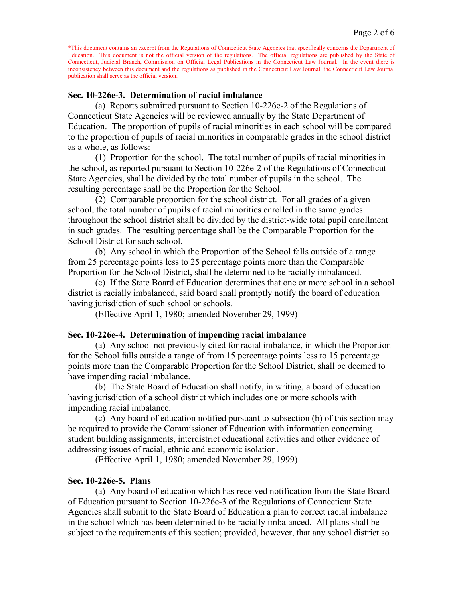#### **Sec. 10-226e-3. Determination of racial imbalance**

(a) Reports submitted pursuant to Section 10-226e-2 of the Regulations of Connecticut State Agencies will be reviewed annually by the State Department of Education. The proportion of pupils of racial minorities in each school will be compared to the proportion of pupils of racial minorities in comparable grades in the school district as a whole, as follows:

(1) Proportion for the school. The total number of pupils of racial minorities in the school, as reported pursuant to Section 10-226e-2 of the Regulations of Connecticut State Agencies, shall be divided by the total number of pupils in the school. The resulting percentage shall be the Proportion for the School.

(2) Comparable proportion for the school district. For all grades of a given school, the total number of pupils of racial minorities enrolled in the same grades throughout the school district shall be divided by the district-wide total pupil enrollment in such grades. The resulting percentage shall be the Comparable Proportion for the School District for such school.

(b) Any school in which the Proportion of the School falls outside of a range from 25 percentage points less to 25 percentage points more than the Comparable Proportion for the School District, shall be determined to be racially imbalanced.

(c) If the State Board of Education determines that one or more school in a school district is racially imbalanced, said board shall promptly notify the board of education having jurisdiction of such school or schools.

(Effective April 1, 1980; amended November 29, 1999)

## **Sec. 10-226e-4. Determination of impending racial imbalance**

(a) Any school not previously cited for racial imbalance, in which the Proportion for the School falls outside a range of from 15 percentage points less to 15 percentage points more than the Comparable Proportion for the School District, shall be deemed to have impending racial imbalance.

(b) The State Board of Education shall notify, in writing, a board of education having jurisdiction of a school district which includes one or more schools with impending racial imbalance.

(c) Any board of education notified pursuant to subsection (b) of this section may be required to provide the Commissioner of Education with information concerning student building assignments, interdistrict educational activities and other evidence of addressing issues of racial, ethnic and economic isolation.

(Effective April 1, 1980; amended November 29, 1999)

#### **Sec. 10-226e-5. Plans**

(a) Any board of education which has received notification from the State Board of Education pursuant to Section 10-226e-3 of the Regulations of Connecticut State Agencies shall submit to the State Board of Education a plan to correct racial imbalance in the school which has been determined to be racially imbalanced. All plans shall be subject to the requirements of this section; provided, however, that any school district so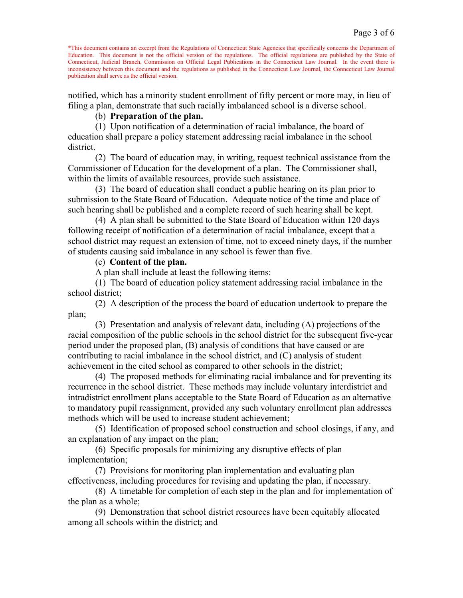notified, which has a minority student enrollment of fifty percent or more may, in lieu of filing a plan, demonstrate that such racially imbalanced school is a diverse school.

## (b) **Preparation of the plan.**

(1) Upon notification of a determination of racial imbalance, the board of education shall prepare a policy statement addressing racial imbalance in the school district.

(2) The board of education may, in writing, request technical assistance from the Commissioner of Education for the development of a plan. The Commissioner shall, within the limits of available resources, provide such assistance.

(3) The board of education shall conduct a public hearing on its plan prior to submission to the State Board of Education. Adequate notice of the time and place of such hearing shall be published and a complete record of such hearing shall be kept.

(4) A plan shall be submitted to the State Board of Education within 120 days following receipt of notification of a determination of racial imbalance, except that a school district may request an extension of time, not to exceed ninety days, if the number of students causing said imbalance in any school is fewer than five.

# (c) **Content of the plan.**

A plan shall include at least the following items:

(1) The board of education policy statement addressing racial imbalance in the school district;

(2) A description of the process the board of education undertook to prepare the plan;

(3) Presentation and analysis of relevant data, including (A) projections of the racial composition of the public schools in the school district for the subsequent five-year period under the proposed plan, (B) analysis of conditions that have caused or are contributing to racial imbalance in the school district, and (C) analysis of student achievement in the cited school as compared to other schools in the district;

(4) The proposed methods for eliminating racial imbalance and for preventing its recurrence in the school district. These methods may include voluntary interdistrict and intradistrict enrollment plans acceptable to the State Board of Education as an alternative to mandatory pupil reassignment, provided any such voluntary enrollment plan addresses methods which will be used to increase student achievement;

(5) Identification of proposed school construction and school closings, if any, and an explanation of any impact on the plan;

(6) Specific proposals for minimizing any disruptive effects of plan implementation;

(7) Provisions for monitoring plan implementation and evaluating plan effectiveness, including procedures for revising and updating the plan, if necessary.

(8) A timetable for completion of each step in the plan and for implementation of the plan as a whole;

(9) Demonstration that school district resources have been equitably allocated among all schools within the district; and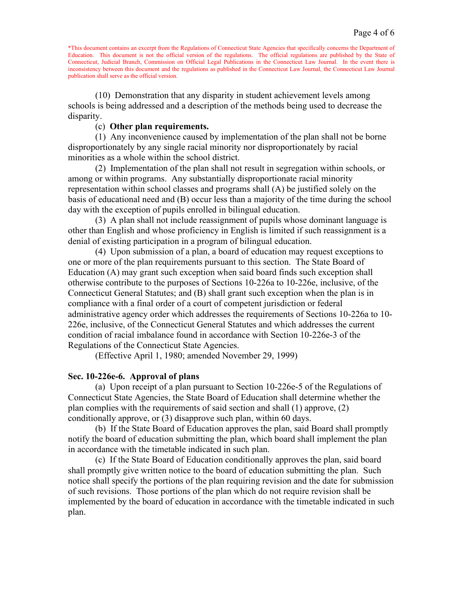(10) Demonstration that any disparity in student achievement levels among schools is being addressed and a description of the methods being used to decrease the disparity.

# (c) **Other plan requirements.**

(1) Any inconvenience caused by implementation of the plan shall not be borne disproportionately by any single racial minority nor disproportionately by racial minorities as a whole within the school district.

(2) Implementation of the plan shall not result in segregation within schools, or among or within programs. Any substantially disproportionate racial minority representation within school classes and programs shall (A) be justified solely on the basis of educational need and (B) occur less than a majority of the time during the school day with the exception of pupils enrolled in bilingual education.

(3) A plan shall not include reassignment of pupils whose dominant language is other than English and whose proficiency in English is limited if such reassignment is a denial of existing participation in a program of bilingual education.

(4) Upon submission of a plan, a board of education may request exceptions to one or more of the plan requirements pursuant to this section. The State Board of Education (A) may grant such exception when said board finds such exception shall otherwise contribute to the purposes of Sections 10-226a to 10-226e, inclusive, of the Connecticut General Statutes; and (B) shall grant such exception when the plan is in compliance with a final order of a court of competent jurisdiction or federal administrative agency order which addresses the requirements of Sections 10-226a to 10- 226e, inclusive, of the Connecticut General Statutes and which addresses the current condition of racial imbalance found in accordance with Section 10-226e-3 of the Regulations of the Connecticut State Agencies.

(Effective April 1, 1980; amended November 29, 1999)

# **Sec. 10-226e-6. Approval of plans**

(a) Upon receipt of a plan pursuant to Section 10-226e-5 of the Regulations of Connecticut State Agencies, the State Board of Education shall determine whether the plan complies with the requirements of said section and shall (1) approve, (2) conditionally approve, or (3) disapprove such plan, within 60 days.

(b) If the State Board of Education approves the plan, said Board shall promptly notify the board of education submitting the plan, which board shall implement the plan in accordance with the timetable indicated in such plan.

(c) If the State Board of Education conditionally approves the plan, said board shall promptly give written notice to the board of education submitting the plan. Such notice shall specify the portions of the plan requiring revision and the date for submission of such revisions. Those portions of the plan which do not require revision shall be implemented by the board of education in accordance with the timetable indicated in such plan.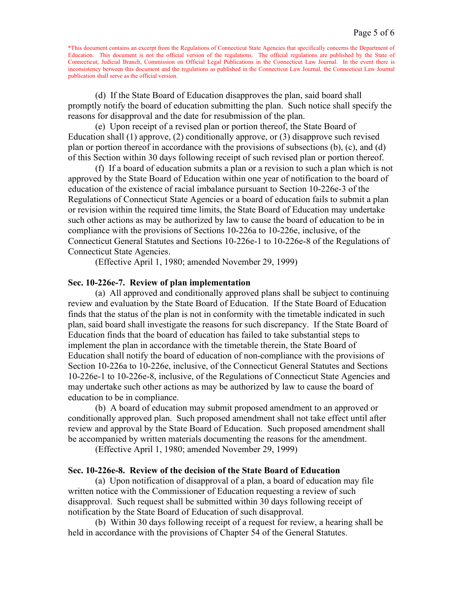(d) If the State Board of Education disapproves the plan, said board shall promptly notify the board of education submitting the plan. Such notice shall specify the reasons for disapproval and the date for resubmission of the plan.

(e) Upon receipt of a revised plan or portion thereof, the State Board of Education shall (1) approve, (2) conditionally approve, or (3) disapprove such revised plan or portion thereof in accordance with the provisions of subsections (b), (c), and (d) of this Section within 30 days following receipt of such revised plan or portion thereof.

(f) If a board of education submits a plan or a revision to such a plan which is not approved by the State Board of Education within one year of notification to the board of education of the existence of racial imbalance pursuant to Section 10-226e-3 of the Regulations of Connecticut State Agencies or a board of education fails to submit a plan or revision within the required time limits, the State Board of Education may undertake such other actions as may be authorized by law to cause the board of education to be in compliance with the provisions of Sections 10-226a to 10-226e, inclusive, of the Connecticut General Statutes and Sections 10-226e-1 to 10-226e-8 of the Regulations of Connecticut State Agencies.

(Effective April 1, 1980; amended November 29, 1999)

#### **Sec. 10-226e-7. Review of plan implementation**

(a) All approved and conditionally approved plans shall be subject to continuing review and evaluation by the State Board of Education. If the State Board of Education finds that the status of the plan is not in conformity with the timetable indicated in such plan, said board shall investigate the reasons for such discrepancy. If the State Board of Education finds that the board of education has failed to take substantial steps to implement the plan in accordance with the timetable therein, the State Board of Education shall notify the board of education of non-compliance with the provisions of Section 10-226a to 10-226e, inclusive, of the Connecticut General Statutes and Sections 10-226e-1 to 10-226e-8, inclusive, of the Regulations of Connecticut State Agencies and may undertake such other actions as may be authorized by law to cause the board of education to be in compliance.

(b) A board of education may submit proposed amendment to an approved or conditionally approved plan. Such proposed amendment shall not take effect until after review and approval by the State Board of Education. Such proposed amendment shall be accompanied by written materials documenting the reasons for the amendment.

(Effective April 1, 1980; amended November 29, 1999)

## **Sec. 10-226e-8. Review of the decision of the State Board of Education**

(a) Upon notification of disapproval of a plan, a board of education may file written notice with the Commissioner of Education requesting a review of such disapproval. Such request shall be submitted within 30 days following receipt of notification by the State Board of Education of such disapproval.

(b) Within 30 days following receipt of a request for review, a hearing shall be held in accordance with the provisions of Chapter 54 of the General Statutes.